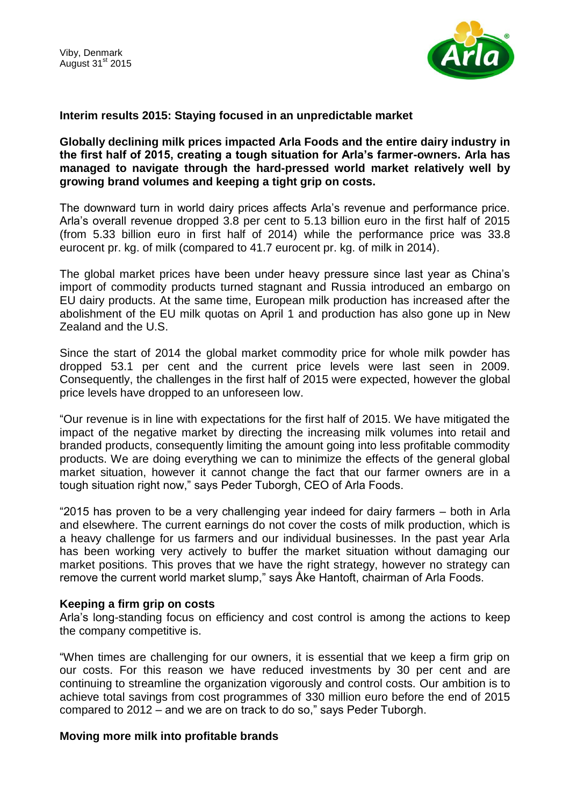

## **Interim results 2015: Staying focused in an unpredictable market**

## **Globally declining milk prices impacted Arla Foods and the entire dairy industry in the first half of 2015, creating a tough situation for Arla's farmer-owners. Arla has managed to navigate through the hard-pressed world market relatively well by growing brand volumes and keeping a tight grip on costs.**

The downward turn in world dairy prices affects Arla's revenue and performance price. Arla's overall revenue dropped 3.8 per cent to 5.13 billion euro in the first half of 2015 (from 5.33 billion euro in first half of 2014) while the performance price was 33.8 eurocent pr. kg. of milk (compared to 41.7 eurocent pr. kg. of milk in 2014).

The global market prices have been under heavy pressure since last year as China's import of commodity products turned stagnant and Russia introduced an embargo on EU dairy products. At the same time, European milk production has increased after the abolishment of the EU milk quotas on April 1 and production has also gone up in New Zealand and the U.S.

Since the start of 2014 the global market commodity price for whole milk powder has dropped 53.1 per cent and the current price levels were last seen in 2009. Consequently, the challenges in the first half of 2015 were expected, however the global price levels have dropped to an unforeseen low.

"Our revenue is in line with expectations for the first half of 2015. We have mitigated the impact of the negative market by directing the increasing milk volumes into retail and branded products, consequently limiting the amount going into less profitable commodity products. We are doing everything we can to minimize the effects of the general global market situation, however it cannot change the fact that our farmer owners are in a tough situation right now," says Peder Tuborgh, CEO of Arla Foods.

"2015 has proven to be a very challenging year indeed for dairy farmers – both in Arla and elsewhere. The current earnings do not cover the costs of milk production, which is a heavy challenge for us farmers and our individual businesses. In the past year Arla has been working very actively to buffer the market situation without damaging our market positions. This proves that we have the right strategy, however no strategy can remove the current world market slump," says Åke Hantoft, chairman of Arla Foods.

## **Keeping a firm grip on costs**

Arla's long-standing focus on efficiency and cost control is among the actions to keep the company competitive is.

"When times are challenging for our owners, it is essential that we keep a firm grip on our costs. For this reason we have reduced investments by 30 per cent and are continuing to streamline the organization vigorously and control costs. Our ambition is to achieve total savings from cost programmes of 330 million euro before the end of 2015 compared to 2012 – and we are on track to do so," says Peder Tuborgh.

## **Moving more milk into profitable brands**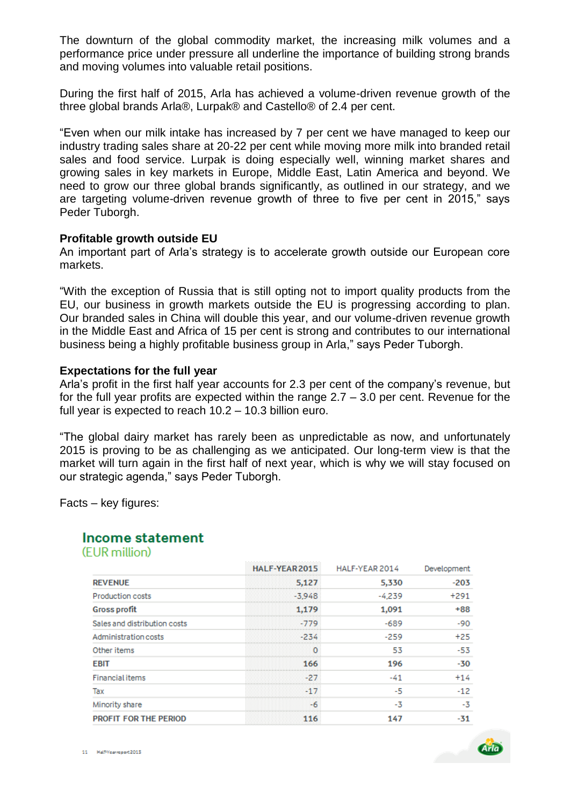The downturn of the global commodity market, the increasing milk volumes and a performance price under pressure all underline the importance of building strong brands and moving volumes into valuable retail positions.

During the first half of 2015, Arla has achieved a volume-driven revenue growth of the three global brands Arla®, Lurpak® and Castello® of 2.4 per cent.

"Even when our milk intake has increased by 7 per cent we have managed to keep our industry trading sales share at 20-22 per cent while moving more milk into branded retail sales and food service. Lurpak is doing especially well, winning market shares and growing sales in key markets in Europe, Middle East, Latin America and beyond. We need to grow our three global brands significantly, as outlined in our strategy, and we are targeting volume-driven revenue growth of three to five per cent in 2015," says Peder Tuborgh.

#### **Profitable growth outside EU**

An important part of Arla's strategy is to accelerate growth outside our European core markets.

"With the exception of Russia that is still opting not to import quality products from the EU, our business in growth markets outside the EU is progressing according to plan. Our branded sales in China will double this year, and our volume-driven revenue growth in the Middle East and Africa of 15 per cent is strong and contributes to our international business being a highly profitable business group in Arla," says Peder Tuborgh.

#### **Expectations for the full year**

Arla's profit in the first half year accounts for 2.3 per cent of the company's revenue, but for the full year profits are expected within the range 2.7 – 3.0 per cent. Revenue for the full year is expected to reach 10.2 – 10.3 billion euro.

"The global dairy market has rarely been as unpredictable as now, and unfortunately 2015 is proving to be as challenging as we anticipated. Our long-term view is that the market will turn again in the first half of next year, which is why we will stay focused on our strategic agenda," says Peder Tuborgh.

Facts – key figures:

# **Income statement**

(EUR million)

|                              | HALF-YEAR 2015 | HALF-YEAR 2014 | Development |
|------------------------------|----------------|----------------|-------------|
| <b>REVENUE</b>               | 5,127          | 5,330          | $-203$      |
| <b>Production costs</b>      | $-3.948$       | $-4.239$       | $+291$      |
| <b>Gross profit</b>          | 1,179          | 1,091          | $+88$       |
| Sales and distribution costs | $-779$         | $-689$         | -90         |
| Administration costs         | $-234$         | $-259$         | $+25$       |
| Other items                  | 0              | 53             | $-53$       |
| <b>EBIT</b>                  | 166            | 196            | $-30$       |
| <b>Financial items</b>       | $-27$          | $-41$          | $+14$       |
| Tax                          | $-17$          | -5             | $-12$       |
| Minority share               | -6             | -3             | -3          |
| <b>PROFIT FOR THE PERIOD</b> | 116            | 147            | $-31$       |